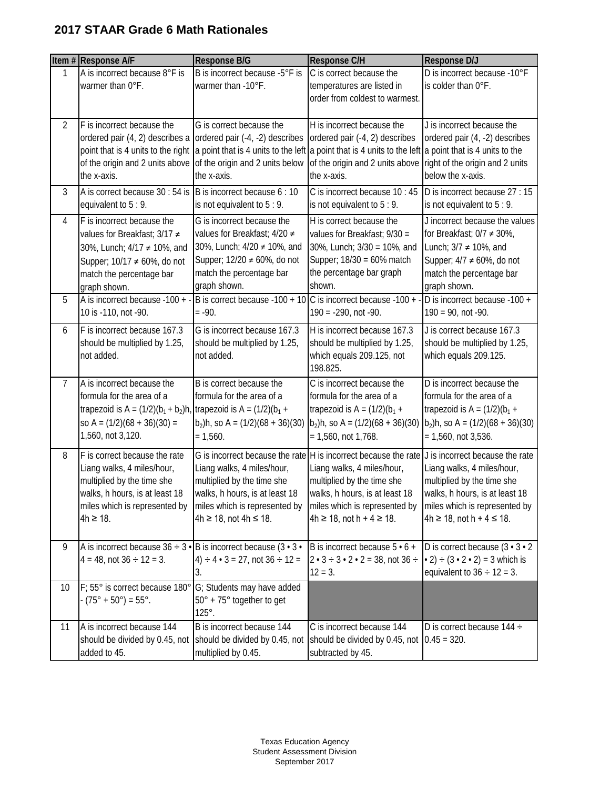|                | Item # Response A/F                                                                                                                                                                          | <b>Response B/G</b>                                                                                                                                                  | Response C/H                                                                                                                                                                                                                                                                                | Response D/J                                                                                                                                                                |
|----------------|----------------------------------------------------------------------------------------------------------------------------------------------------------------------------------------------|----------------------------------------------------------------------------------------------------------------------------------------------------------------------|---------------------------------------------------------------------------------------------------------------------------------------------------------------------------------------------------------------------------------------------------------------------------------------------|-----------------------------------------------------------------------------------------------------------------------------------------------------------------------------|
| 1              | A is incorrect because 8°F is<br>warmer than 0°F.                                                                                                                                            | B is incorrect because -5°F is<br>warmer than -10°F.                                                                                                                 | C is correct because the<br>temperatures are listed in<br>order from coldest to warmest.                                                                                                                                                                                                    | D is incorrect because - 10°F<br>is colder than 0°F.                                                                                                                        |
| $\overline{2}$ | F is incorrect because the<br>ordered pair (4, 2) describes a ordered pair (-4, -2) describes<br>of the origin and 2 units above<br>the x-axis.                                              | G is correct because the<br>of the origin and 2 units below<br>the x-axis.                                                                                           | H is incorrect because the<br>ordered pair (-4, 2) describes<br>point that is 4 units to the right a point that is 4 units to the left a point that is 4 units to the left a point that is 4 units to the<br>of the origin and 2 units above right of the origin and 2 units<br>the x-axis. | J is incorrect because the<br>ordered pair (4, -2) describes<br>below the x-axis.                                                                                           |
| 3              | A is correct because $30:54$ is B is incorrect because 6:10<br>equivalent to 5 : 9.                                                                                                          | is not equivalent to $5:9$ .                                                                                                                                         | C is incorrect because 10 : 45<br>is not equivalent to 5 : 9.                                                                                                                                                                                                                               | D is incorrect because 27 : 15<br>is not equivalent to 5 : 9.                                                                                                               |
| $\overline{4}$ | F is incorrect because the<br>values for Breakfast; 3/17 ≠<br>30%, Lunch; 4/17 ≠ 10%, and<br>Supper; 10/17 ≠ 60%, do not<br>match the percentage bar<br>graph shown.                         | G is incorrect because the<br>values for Breakfast; 4/20 ≠<br>30%, Lunch; 4/20 ≠ 10%, and<br>Supper; 12/20 ≠ 60%, do not<br>match the percentage bar<br>graph shown. | H is correct because the<br>values for Breakfast; $9/30 =$<br>30%, Lunch; 3/30 = 10%, and<br>Supper; 18/30 = 60% match<br>the percentage bar graph<br>shown.                                                                                                                                | J incorrect because the values<br>for Breakfast; 0/7 ≠ 30%,<br>Lunch; $3/7 \neq 10\%$ , and<br>Supper; $4/7 \neq 60\%$ , do not<br>match the percentage bar<br>graph shown. |
| 5              | A is incorrect because -100 + -<br>10 is -110, not -90.                                                                                                                                      | B is correct because -100 + 10 C is incorrect because -100 + -<br>$= -90.$                                                                                           | $190 = -290$ , not $-90$ .                                                                                                                                                                                                                                                                  | D is incorrect because -100 +<br>$190 = 90$ , not -90.                                                                                                                      |
| 6              | F is incorrect because 167.3<br>should be multiplied by 1.25,<br>not added.                                                                                                                  | G is incorrect because 167.3<br>should be multiplied by 1.25,<br>not added.                                                                                          | H is incorrect because 167.3<br>should be multiplied by 1.25,<br>which equals 209.125, not<br>198.825.                                                                                                                                                                                      | J is correct because 167.3<br>should be multiplied by 1.25,<br>which equals 209.125.                                                                                        |
| $\overline{7}$ | A is incorrect because the<br>formula for the area of a<br>trapezoid is A = $(1/2)(b_1 + b_2)h$ , trapezoid is A = $(1/2)(b_1 + b_2)h$<br>so A = $(1/2)(68 + 36)(30)$ =<br>1,560, not 3,120. | B is correct because the<br>formula for the area of a<br>b <sub>2</sub> )h, so A = $(1/2)(68 + 36)(30)$<br>$= 1,560.$                                                | C is incorrect because the<br>formula for the area of a<br>trapezoid is A = $(1/2)(b_1 +$<br>$b_2$ )h, so A = (1/2)(68 + 36)(30)<br>$= 1,560$ , not 1,768.                                                                                                                                  | D is incorrect because the<br>formula for the area of a<br>trapezoid is A = $(1/2)(b_1 +$<br>b <sub>2</sub> )h, so A = $(1/2)(68 + 36)(30)$<br>$= 1,560$ , not 3,536.       |
| 8              | F is correct because the rate<br>Liang walks, 4 miles/hour,<br>multiplied by the time she<br>walks, h hours, is at least 18<br>miles which is represented by<br>$4h \ge 18$ .                | Liang walks, 4 miles/hour,<br>multiplied by the time she<br>walks, h hours, is at least 18<br>miles which is represented by<br>4h ≥ 18, not 4h ≤ 18.                 | G is incorrect because the rate H is incorrect because the rate I is incorrect because the rate<br>Liang walks, 4 miles/hour,<br>multiplied by the time she<br>walks, h hours, is at least 18<br>miles which is represented by<br>4h ≥ 18, not h + 4 ≥ 18.                                  | Liang walks, 4 miles/hour,<br>multiplied by the time she<br>walks, h hours, is at least 18<br>miles which is represented by<br>$4h \ge 18$ , not h + 4 ≤ 18.                |
| 9              | A is incorrect because $36 \div 3 \cdot B$ is incorrect because $(3 \cdot 3 \cdot$<br>$4 = 48$ , not $36 \div 12 = 3$ .                                                                      | 4) $- 4 \cdot 3 = 27$ , not $36 \div 12 =$<br>3.                                                                                                                     | B is incorrect because $5 \cdot 6 +$<br>$2 \cdot 3 \div 3 \cdot 2 \cdot 2 = 38$ , not $36 \div$<br>$12 = 3.$                                                                                                                                                                                | D is correct because $(3 \cdot 3 \cdot 2)$<br>• 2) $\div$ (3 • 2 • 2) = 3 which is<br>equivalent to $36 \div 12 = 3$ .                                                      |
| 10             | F; 55° is correct because 180°<br>$(75^{\circ} + 50^{\circ}) = 55^{\circ}.$                                                                                                                  | G; Students may have added<br>50° + 75° together to get<br>$125^\circ$ .                                                                                             |                                                                                                                                                                                                                                                                                             |                                                                                                                                                                             |
| 11             | A is incorrect because 144<br>should be divided by 0.45, not<br>added to 45.                                                                                                                 | B is incorrect because 144<br>should be divided by 0.45, not<br>multiplied by 0.45.                                                                                  | C is incorrect because 144<br>should be divided by 0.45, not<br>subtracted by 45.                                                                                                                                                                                                           | D is correct because 144 ÷<br>$0.45 = 320.$                                                                                                                                 |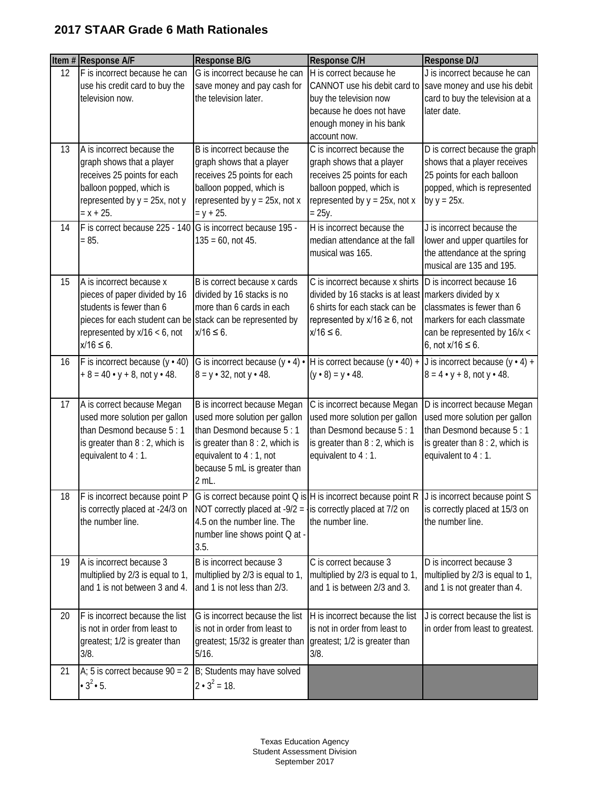|    | Item # Response A/F                                                                                                                                                                                      | Response B/G                                                                                                                                                                                                                                                                  | Response C/H                                                                                                                                                                           | <b>Response D/J</b>                                                                                                                                  |
|----|----------------------------------------------------------------------------------------------------------------------------------------------------------------------------------------------------------|-------------------------------------------------------------------------------------------------------------------------------------------------------------------------------------------------------------------------------------------------------------------------------|----------------------------------------------------------------------------------------------------------------------------------------------------------------------------------------|------------------------------------------------------------------------------------------------------------------------------------------------------|
| 12 | F is incorrect because he can<br>use his credit card to buy the<br>television now.                                                                                                                       | G is incorrect because he can<br>save money and pay cash for<br>the television later.                                                                                                                                                                                         | H is correct because he<br>CANNOT use his debit card to save money and use his debit<br>buy the television now<br>because he does not have<br>enough money in his bank<br>account now. | J is incorrect because he can<br>card to buy the television at a<br>later date.                                                                      |
| 13 | A is incorrect because the<br>graph shows that a player<br>receives 25 points for each<br>balloon popped, which is<br>represented by $y = 25x$ , not y<br>$= x + 25.$                                    | B is incorrect because the<br>graph shows that a player<br>receives 25 points for each<br>balloon popped, which is<br>represented by $y = 25x$ , not x<br>$= y + 25.$                                                                                                         | C is incorrect because the<br>graph shows that a player<br>receives 25 points for each<br>balloon popped, which is<br>represented by $y = 25x$ , not x<br>$= 25y.$                     | D is correct because the graph<br>shows that a player receives<br>25 points for each balloon<br>popped, which is represented<br>by $y = 25x$ .       |
| 14 | F is correct because 225 - 140<br>$= 85.$                                                                                                                                                                | G is incorrect because 195 -<br>$135 = 60$ , not 45.                                                                                                                                                                                                                          | H is incorrect because the<br>median attendance at the fall<br>musical was 165.                                                                                                        | J is incorrect because the<br>lower and upper quartiles for<br>the attendance at the spring<br>musical are 135 and 195.                              |
| 15 | A is incorrect because x<br>pieces of paper divided by 16<br>students is fewer than 6<br>pieces for each student can be stack can be represented by<br>represented by $x/16 < 6$ , not<br>$x/16 \le 6$ . | B is correct because x cards<br>divided by 16 stacks is no<br>more than 6 cards in each<br>$x/16 \le 6$ .                                                                                                                                                                     | C is incorrect because x shirts<br>divided by 16 stacks is at least markers divided by x<br>6 shirts for each stack can be<br>represented by $x/16 \ge 6$ , not<br>$x/16 \le 6$ .      | D is incorrect because 16<br>classmates is fewer than 6<br>markers for each classmate<br>can be represented by 16/x <<br>6, not $x/16 \le 6$ .       |
| 16 | F is incorrect because $(y \cdot 40)$<br>$+ 8 = 40 \cdot y + 8$ , not $y \cdot 48$ .                                                                                                                     | G is incorrect because $(y \cdot 4) \cdot$<br>$8 = y \cdot 32$ , not $y \cdot 48$ .                                                                                                                                                                                           | $(y \cdot 8) = y \cdot 48.$                                                                                                                                                            | H is correct because $(y \cdot 40) + J$ is incorrect because $(y \cdot 4) +$<br>$8 = 4 \cdot y + 8$ , not y $\cdot$ 48.                              |
| 17 | A is correct because Megan<br>used more solution per gallon<br>than Desmond because 5:1<br>is greater than 8 : 2, which is<br>equivalent to 4 : 1.                                                       | B is incorrect because Megan<br>used more solution per gallon<br>than Desmond because 5:1<br>is greater than $8:2$ , which is<br>equivalent to 4 : 1, not<br>because 5 mL is greater than<br>2 mL.                                                                            | C is incorrect because Megan<br>used more solution per gallon<br>than Desmond because 5:1<br>is greater than 8 : 2, which is<br>equivalent to 4 : 1.                                   | D is incorrect because Megan<br>used more solution per gallon<br>than Desmond because 5:1<br>is greater than 8 : 2, which is<br>equivalent to 4 : 1. |
| 18 | is correctly placed at -24/3 on<br>the number line.                                                                                                                                                      | F is incorrect because point P $ G$ is correct because point Q is H is incorrect because point R $ J$ is incorrect because point S<br>NOT correctly placed at $-9/2 =$ is correctly placed at 7/2 on<br>4.5 on the number line. The<br>number line shows point Q at -<br>3.5. | the number line.                                                                                                                                                                       | is correctly placed at 15/3 on<br>the number line.                                                                                                   |
| 19 | A is incorrect because 3<br>multiplied by 2/3 is equal to 1,<br>and 1 is not between 3 and 4.                                                                                                            | B is incorrect because 3<br>multiplied by 2/3 is equal to 1,<br>and 1 is not less than 2/3.                                                                                                                                                                                   | C is correct because 3<br>multiplied by 2/3 is equal to 1,<br>and 1 is between 2/3 and 3.                                                                                              | D is incorrect because 3<br>multiplied by 2/3 is equal to 1,<br>and 1 is not greater than 4.                                                         |
| 20 | F is incorrect because the list<br>is not in order from least to<br>greatest; 1/2 is greater than<br>3/8.                                                                                                | G is incorrect because the list<br>is not in order from least to<br>greatest; 15/32 is greater than<br>5/16.                                                                                                                                                                  | H is incorrect because the list<br>is not in order from least to<br>greatest; 1/2 is greater than<br>3/8.                                                                              | J is correct because the list is<br>in order from least to greatest.                                                                                 |
| 21 | A; 5 is correct because $90 = 2$<br>$3^2 \cdot 5$ .                                                                                                                                                      | B; Students may have solved<br>$2 \cdot 3^2 = 18$ .                                                                                                                                                                                                                           |                                                                                                                                                                                        |                                                                                                                                                      |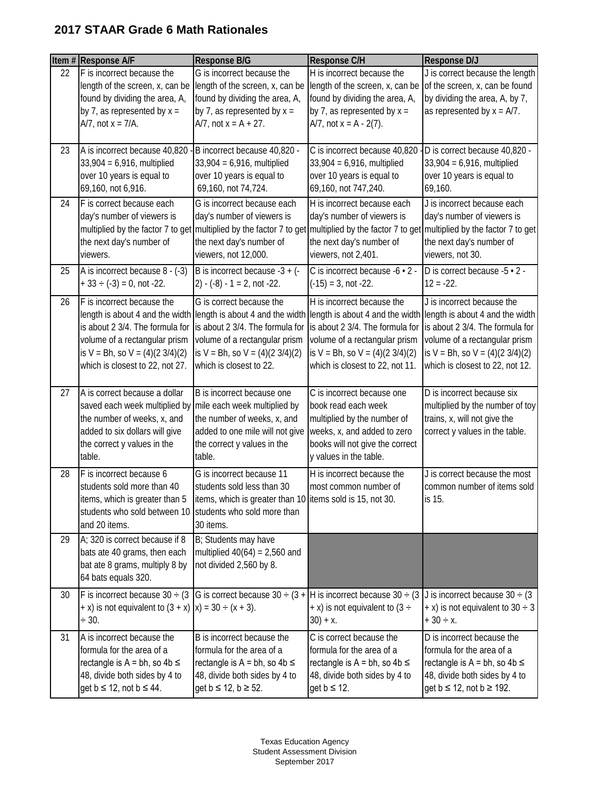|    | Item # Response A/F                                                                                                                                                                                   | Response B/G                                                                                                                                                                                                                                                               | Response C/H                                                                                                                                                                      | Response D/J                                                                                                                                                                                                         |
|----|-------------------------------------------------------------------------------------------------------------------------------------------------------------------------------------------------------|----------------------------------------------------------------------------------------------------------------------------------------------------------------------------------------------------------------------------------------------------------------------------|-----------------------------------------------------------------------------------------------------------------------------------------------------------------------------------|----------------------------------------------------------------------------------------------------------------------------------------------------------------------------------------------------------------------|
| 22 | F is incorrect because the<br>length of the screen, x, can be<br>found by dividing the area, A,<br>by 7, as represented by $x =$<br>A/7, not $x = 7/A$ .                                              | G is incorrect because the<br>length of the screen, x, can be<br>found by dividing the area, A,<br>by 7, as represented by $x =$<br>$A/7$ , not $x = A + 27$ .                                                                                                             | H is incorrect because the<br>length of the screen, x, can be<br>found by dividing the area, A,<br>by 7, as represented by $x =$<br>A/7, not $x = A - 2(7)$ .                     | J is correct because the length<br>of the screen, x, can be found<br>by dividing the area, A, by 7,<br>as represented by $x = A/7$ .                                                                                 |
| 23 | A is incorrect because 40,820<br>$33,904 = 6,916$ , multiplied<br>over 10 years is equal to<br>69,160, not 6,916.                                                                                     | B incorrect because 40,820 -<br>$33,904 = 6,916$ , multiplied<br>over 10 years is equal to<br>69,160, not 74,724.                                                                                                                                                          | C is incorrect because 40,820<br>$33,904 = 6,916$ , multiplied<br>over 10 years is equal to<br>69,160, not 747,240.                                                               | D is correct because 40,820 -<br>$33,904 = 6,916$ , multiplied<br>over 10 years is equal to<br>69,160.                                                                                                               |
| 24 | F is correct because each<br>day's number of viewers is<br>the next day's number of<br>viewers.                                                                                                       | G is incorrect because each<br>day's number of viewers is<br>multiplied by the factor 7 to get multiplied by the factor 7 to get multiplied by the factor 7 to get multiplied by the factor 7 to get<br>the next day's number of<br>viewers, not 12,000.                   | H is incorrect because each<br>day's number of viewers is<br>the next day's number of<br>viewers, not 2,401.                                                                      | J is incorrect because each<br>day's number of viewers is<br>the next day's number of<br>viewers, not 30.                                                                                                            |
| 25 | A is incorrect because 8 - (-3)<br>$+33 \div (-3) = 0$ , not -22.                                                                                                                                     | B is incorrect because $-3 + (-$<br>$2) - (-8) - 1 = 2$ , not -22.                                                                                                                                                                                                         | C is incorrect because $-6 \cdot 2$ -<br>$(-15) = 3$ , not -22.                                                                                                                   | D is correct because -5 · 2 -<br>$12 = -22$ .                                                                                                                                                                        |
| 26 | F is incorrect because the<br>is about 2 3/4. The formula for<br>volume of a rectangular prism<br>is $V = Bh$ , so $V = (4)(2 \frac{3}{4})(2)$<br>which is closest to 22, not 27.                     | G is correct because the<br>length is about 4 and the width length is about 4 and the width length is about 4 and the width<br>is about 2 3/4. The formula for<br>volume of a rectangular prism<br>is $V = Bh$ , so $V = (4)(2 \frac{3}{4})(2)$<br>which is closest to 22. | H is incorrect because the<br>is about 2 3/4. The formula for<br>volume of a rectangular prism<br>is $V = Bh$ , so $V = (4)(2 \frac{3}{4})(2)$<br>which is closest to 22, not 11. | J is incorrect because the<br>length is about 4 and the width<br>is about 2 3/4. The formula for<br>volume of a rectangular prism<br>is $V = Bh$ , so $V = (4)(2 \frac{3}{4})(2)$<br>which is closest to 22, not 12. |
| 27 | A is correct because a dollar<br>saved each week multiplied by mile each week multiplied by<br>the number of weeks, x, and<br>added to six dollars will give<br>the correct y values in the<br>table. | B is incorrect because one<br>the number of weeks, x, and<br>added to one mile will not give<br>the correct y values in the<br>table.                                                                                                                                      | C is incorrect because one<br>book read each week<br>multiplied by the number of<br>weeks, x, and added to zero<br>books will not give the correct<br>y values in the table.      | D is incorrect because six<br>multiplied by the number of toy<br>trains, x, will not give the<br>correct y values in the table.                                                                                      |
| 28 | F is incorrect because 6<br>students sold more than 40<br>items, which is greater than 5<br>students who sold between 10 students who sold more than<br>and 20 items.                                 | G is incorrect because 11<br>students sold less than 30<br>items, which is greater than 10 litems sold is 15, not 30.<br>30 items.                                                                                                                                         | H is incorrect because the<br>most common number of                                                                                                                               | J is correct because the most<br>common number of items sold<br>is 15.                                                                                                                                               |
| 29 | A; 320 is correct because if 8<br>bats ate 40 grams, then each<br>bat ate 8 grams, multiply 8 by<br>64 bats equals 320.                                                                               | B; Students may have<br>multiplied $40(64) = 2,560$ and<br>not divided 2,560 by 8.                                                                                                                                                                                         |                                                                                                                                                                                   |                                                                                                                                                                                                                      |
| 30 | F is incorrect because 30 $\div$ (3 G is correct because 30 $\div$ (3 +<br>+ x) is not equivalent to $(3 + x)$  x) = 30 ÷ (x + 3).<br>$-30.$                                                          |                                                                                                                                                                                                                                                                            | H is incorrect because $30 \div (3)$<br>+ x) is not equivalent to $(3 \div$<br>$30 + x$ .                                                                                         | J is incorrect because $30 \div (3)$<br>$+ x$ ) is not equivalent to 30 $\div$ 3<br>$+30 \div x$ .                                                                                                                   |
| 31 | A is incorrect because the<br>formula for the area of a<br>rectangle is $A = bh$ , so $4b \leq$<br>48, divide both sides by 4 to<br>get $b \le 12$ , not $b \le 44$ .                                 | B is incorrect because the<br>formula for the area of a<br>rectangle is $A = bh$ , so $4b \leq$<br>48, divide both sides by 4 to<br>get $b \le 12$ , $b \ge 52$ .                                                                                                          | C is correct because the<br>formula for the area of a<br>rectangle is $A = bh$ , so $4b \leq$<br>48, divide both sides by 4 to<br>get $b \leq 12$ .                               | D is incorrect because the<br>formula for the area of a<br>rectangle is $A = bh$ , so $4b \leq$<br>48, divide both sides by 4 to<br>get b ≤ 12, not b ≥ 192.                                                         |